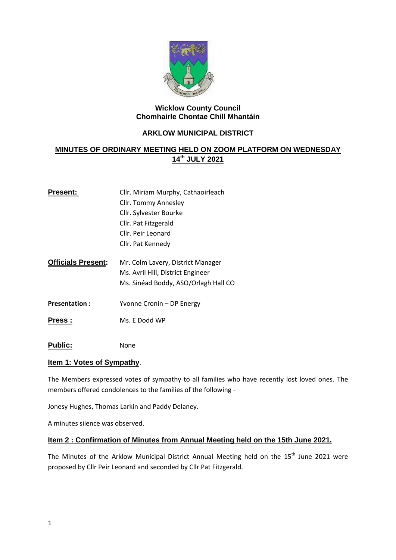

#### **Wicklow County Council Chomhairle Chontae Chill Mhantáin**

### **ARKLOW MUNICIPAL DISTRICT**

# **MINUTES OF ORDINARY MEETING HELD ON ZOOM PLATFORM ON WEDNESDAY 14th JULY 2021**

| <b>Present:</b>           | Cllr. Miriam Murphy, Cathaoirleach                                     |  |
|---------------------------|------------------------------------------------------------------------|--|
|                           | Cllr. Tommy Annesley                                                   |  |
|                           | Cllr. Sylvester Bourke                                                 |  |
|                           | Cllr. Pat Fitzgerald                                                   |  |
|                           | Cllr. Peir Leonard                                                     |  |
|                           | Cllr. Pat Kennedy                                                      |  |
| <b>Officials Present:</b> | Mr. Colm Lavery, District Manager<br>Ms. Avril Hill, District Engineer |  |
|                           | Ms. Sinéad Boddy, ASO/Orlagh Hall CO                                   |  |
| <b>Presentation:</b>      | Yvonne Cronin – DP Energy                                              |  |
| <b>Press:</b>             | Ms. E Dodd WP                                                          |  |

**Public:** None

### **Item 1: Votes of Sympathy**.

The Members expressed votes of sympathy to all families who have recently lost loved ones. The members offered condolences to the families of the following -

Jonesy Hughes, Thomas Larkin and Paddy Delaney.

A minutes silence was observed.

### **Item 2 : Confirmation of Minutes from Annual Meeting held on the 15th June 2021.**

The Minutes of the Arklow Municipal District Annual Meeting held on the  $15<sup>th</sup>$  June 2021 were proposed by Cllr Peir Leonard and seconded by Cllr Pat Fitzgerald.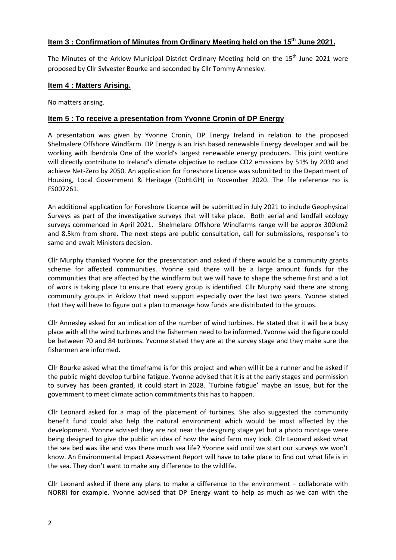## **Item 3 : Confirmation of Minutes from Ordinary Meeting held on the 15th June 2021.**

The Minutes of the Arklow Municipal District Ordinary Meeting held on the 15<sup>th</sup> June 2021 were proposed by Cllr Sylvester Bourke and seconded by Cllr Tommy Annesley.

#### **Item 4 : Matters Arising.**

No matters arising.

### **Item 5 : To receive a presentation from Yvonne Cronin of DP Energy**

A presentation was given by Yvonne Cronin, DP Energy Ireland in relation to the proposed Shelmalere Offshore Windfarm. DP Energy is an Irish based renewable Energy developer and will be working with Iberdrola One of the world's largest renewable energy producers. This joint venture will directly contribute to Ireland's climate objective to reduce CO2 emissions by 51% by 2030 and achieve Net-Zero by 2050. An application for Foreshore Licence was submitted to the Department of Housing, Local Government & Heritage (DoHLGH) in November 2020. The file reference no is FS007261.

An additional application for Foreshore Licence will be submitted in July 2021 to include Geophysical Surveys as part of the investigative surveys that will take place. Both aerial and landfall ecology surveys commenced in April 2021. Shelmelare Offshore Windfarms range will be approx 300km2 and 8.5km from shore. The next steps are public consultation, call for submissions, response's to same and await Ministers decision.

Cllr Murphy thanked Yvonne for the presentation and asked if there would be a community grants scheme for affected communities. Yvonne said there will be a large amount funds for the communities that are affected by the windfarm but we will have to shape the scheme first and a lot of work is taking place to ensure that every group is identified. Cllr Murphy said there are strong community groups in Arklow that need support especially over the last two years. Yvonne stated that they will have to figure out a plan to manage how funds are distributed to the groups.

Cllr Annesley asked for an indication of the number of wind turbines. He stated that it will be a busy place with all the wind turbines and the fishermen need to be informed. Yvonne said the figure could be between 70 and 84 turbines. Yvonne stated they are at the survey stage and they make sure the fishermen are informed.

Cllr Bourke asked what the timeframe is for this project and when will it be a runner and he asked if the public might develop turbine fatigue. Yvonne advised that it is at the early stages and permission to survey has been granted, it could start in 2028. 'Turbine fatigue' maybe an issue, but for the government to meet climate action commitments this has to happen.

Cllr Leonard asked for a map of the placement of turbines. She also suggested the community benefit fund could also help the natural environment which would be most affected by the development. Yvonne advised they are not near the designing stage yet but a photo montage were being designed to give the public an idea of how the wind farm may look. Cllr Leonard asked what the sea bed was like and was there much sea life? Yvonne said until we start our surveys we won't know. An Environmental Impact Assessment Report will have to take place to find out what life is in the sea. They don't want to make any difference to the wildlife.

Cllr Leonard asked if there any plans to make a difference to the environment – collaborate with NORRI for example. Yvonne advised that DP Energy want to help as much as we can with the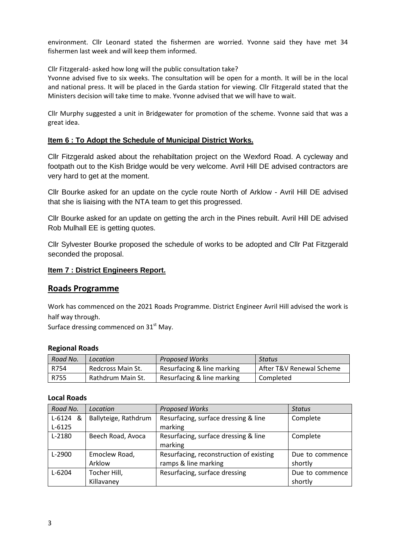environment. Cllr Leonard stated the fishermen are worried. Yvonne said they have met 34 fishermen last week and will keep them informed.

Cllr Fitzgerald- asked how long will the public consultation take?

Yvonne advised five to six weeks. The consultation will be open for a month. It will be in the local and national press. It will be placed in the Garda station for viewing. Cllr Fitzgerald stated that the Ministers decision will take time to make. Yvonne advised that we will have to wait.

Cllr Murphy suggested a unit in Bridgewater for promotion of the scheme. Yvonne said that was a great idea.

### **Item 6 : To Adopt the Schedule of Municipal District Works.**

Cllr Fitzgerald asked about the rehabiltation project on the Wexford Road. A cycleway and footpath out to the Kish Bridge would be very welcome. Avril Hill DE advised contractors are very hard to get at the moment.

Cllr Bourke asked for an update on the cycle route North of Arklow - Avril Hill DE advised that she is liaising with the NTA team to get this progressed.

Cllr Bourke asked for an update on getting the arch in the Pines rebuilt. Avril Hill DE advised Rob Mulhall EE is getting quotes.

Cllr Sylvester Bourke proposed the schedule of works to be adopted and Cllr Pat Fitzgerald seconded the proposal.

### **Item 7 : District Engineers Report.**

## **Roads Programme**

Work has commenced on the 2021 Roads Programme. District Engineer Avril Hill advised the work is half way through.

Surface dressing commenced on  $31<sup>st</sup>$  May.

#### **Regional Roads**

| Road No. | Location          | <b>Proposed Works</b>      | Status                   |
|----------|-------------------|----------------------------|--------------------------|
| R754     | Redcross Main St. | Resurfacing & line marking | After T&V Renewal Scheme |
| R755     | Rathdrum Main St. | Resurfacing & line marking | Completed                |

#### **Local Roads**

| Road No.   | Location             | <b>Proposed Works</b>                   | <b>Status</b>   |
|------------|----------------------|-----------------------------------------|-----------------|
| $L-6124$ & | Ballyteige, Rathdrum | Resurfacing, surface dressing & line    | Complete        |
| $L-6125$   |                      | marking                                 |                 |
| $L-2180$   | Beech Road, Avoca    | Resurfacing, surface dressing & line    | Complete        |
|            |                      | marking                                 |                 |
| $L-2900$   | Emoclew Road,        | Resurfacing, reconstruction of existing | Due to commence |
|            | Arklow               | ramps & line marking                    | shortly         |
| $L - 6204$ | Tocher Hill,         | Resurfacing, surface dressing           | Due to commence |
|            | Killavaney           |                                         | shortly         |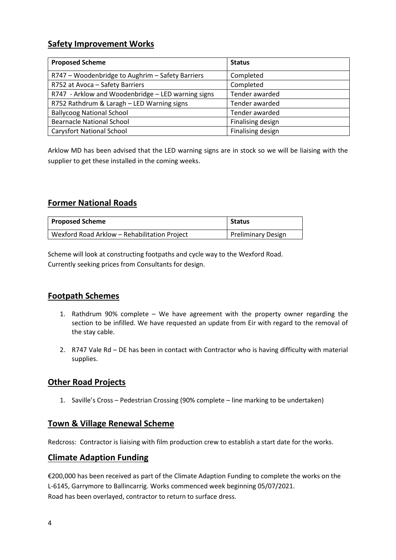# **Safety Improvement Works**

| <b>Proposed Scheme</b>                             | <b>Status</b>     |
|----------------------------------------------------|-------------------|
| R747 - Woodenbridge to Aughrim - Safety Barriers   | Completed         |
| R752 at Avoca - Safety Barriers                    | Completed         |
| R747 - Arklow and Woodenbridge - LED warning signs | Tender awarded    |
| R752 Rathdrum & Laragh - LED Warning signs         | Tender awarded    |
| <b>Ballycoog National School</b>                   | Tender awarded    |
| <b>Bearnacle National School</b>                   | Finalising design |
| <b>Carysfort National School</b>                   | Finalising design |

Arklow MD has been advised that the LED warning signs are in stock so we will be liaising with the supplier to get these installed in the coming weeks.

# **Former National Roads**

| <b>Proposed Scheme</b>                       | <b>Status</b>             |
|----------------------------------------------|---------------------------|
| Wexford Road Arklow - Rehabilitation Project | <b>Preliminary Design</b> |

Scheme will look at constructing footpaths and cycle way to the Wexford Road. Currently seeking prices from Consultants for design.

# **Footpath Schemes**

- 1. Rathdrum 90% complete We have agreement with the property owner regarding the section to be infilled. We have requested an update from Eir with regard to the removal of the stay cable.
- 2. R747 Vale Rd DE has been in contact with Contractor who is having difficulty with material supplies.

# **Other Road Projects**

1. Saville's Cross – Pedestrian Crossing (90% complete – line marking to be undertaken)

# **Town & Village Renewal Scheme**

Redcross: Contractor is liaising with film production crew to establish a start date for the works.

# **Climate Adaption Funding**

€200,000 has been received as part of the Climate Adaption Funding to complete the works on the L-6145, Garrymore to Ballincarrig. Works commenced week beginning 05/07/2021. Road has been overlayed, contractor to return to surface dress.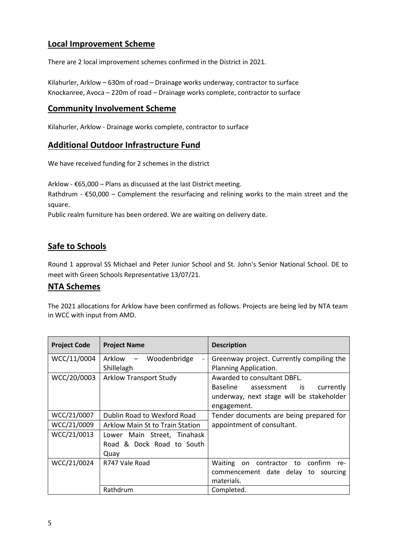# **Local Improvement Scheme**

There are 2 local improvement schemes confirmed in the District in 2021.

Kilahurler, Arklow – 630m of road – Drainage works underway, contractor to surface Knockanree, Avoca – 220m of road – Drainage works complete, contractor to surface

# **Community Involvement Scheme**

Kilahurler, Arklow - Drainage works complete, contractor to surface

# **Additional Outdoor Infrastructure Fund**

We have received funding for 2 schemes in the district

Arklow - €65,000 – Plans as discussed at the last District meeting.

Rathdrum -  $E$ 50,000 – Complement the resurfacing and relining works to the main street and the square.

Public realm furniture has been ordered. We are waiting on delivery date.

# **Safe to Schools**

Round 1 approval SS Michael and Peter Junior School and St. John's Senior National School. DE to meet with Green Schools Representative 13/07/21.

## **NTA Schemes**

The 2021 allocations for Arklow have been confirmed as follows. Projects are being led by NTA team in WCC with input from AMD.

| <b>Project Code</b> | <b>Project Name</b>                                      | <b>Description</b>                               |
|---------------------|----------------------------------------------------------|--------------------------------------------------|
| WCC/11/0004         | Arklow –<br>Woodenbridge<br>$\qquad \qquad \blacksquare$ | Greenway project. Currently compiling the        |
|                     | Shillelagh                                               | Planning Application.                            |
| WCC/20/0003         | <b>Arklow Transport Study</b>                            | Awarded to consultant DBFL.                      |
|                     |                                                          | Baseline<br>currently<br>assessment is           |
|                     |                                                          | underway, next stage will be stakeholder         |
|                     |                                                          | engagement.                                      |
| WCC/21/0007         | Dublin Road to Wexford Road                              | Tender documents are being prepared for          |
| WCC/21/0009         | Arklow Main St to Train Station                          | appointment of consultant.                       |
| WCC/21/0013         | Lower Main Street, Tinahask                              |                                                  |
|                     | Road & Dock Road to South                                |                                                  |
|                     | Quay                                                     |                                                  |
| WCC/21/0024         | R747 Vale Road                                           | Waiting<br>contractor to<br>confirm<br>on<br>re- |
|                     |                                                          | commencement date delay<br>to<br>sourcing        |
|                     |                                                          | materials.                                       |
|                     | Rathdrum                                                 | Completed.                                       |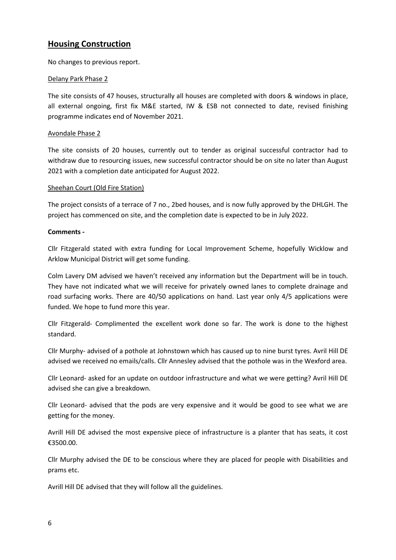# **Housing Construction**

No changes to previous report.

#### Delany Park Phase 2

The site consists of 47 houses, structurally all houses are completed with doors & windows in place, all external ongoing, first fix M&E started, IW & ESB not connected to date, revised finishing programme indicates end of November 2021.

#### Avondale Phase 2

The site consists of 20 houses, currently out to tender as original successful contractor had to withdraw due to resourcing issues, new successful contractor should be on site no later than August 2021 with a completion date anticipated for August 2022.

#### Sheehan Court (Old Fire Station)

The project consists of a terrace of 7 no., 2bed houses, and is now fully approved by the DHLGH. The project has commenced on site, and the completion date is expected to be in July 2022.

#### **Comments -**

Cllr Fitzgerald stated with extra funding for Local Improvement Scheme, hopefully Wicklow and Arklow Municipal District will get some funding.

Colm Lavery DM advised we haven't received any information but the Department will be in touch. They have not indicated what we will receive for privately owned lanes to complete drainage and road surfacing works. There are 40/50 applications on hand. Last year only 4/5 applications were funded. We hope to fund more this year.

Cllr Fitzgerald- Complimented the excellent work done so far. The work is done to the highest standard.

Cllr Murphy- advised of a pothole at Johnstown which has caused up to nine burst tyres. Avril Hill DE advised we received no emails/calls. Cllr Annesley advised that the pothole was in the Wexford area.

Cllr Leonard- asked for an update on outdoor infrastructure and what we were getting? Avril Hill DE advised she can give a breakdown.

Cllr Leonard- advised that the pods are very expensive and it would be good to see what we are getting for the money.

Avrill Hill DE advised the most expensive piece of infrastructure is a planter that has seats, it cost €3500.00.

Cllr Murphy advised the DE to be conscious where they are placed for people with Disabilities and prams etc.

Avrill Hill DE advised that they will follow all the guidelines.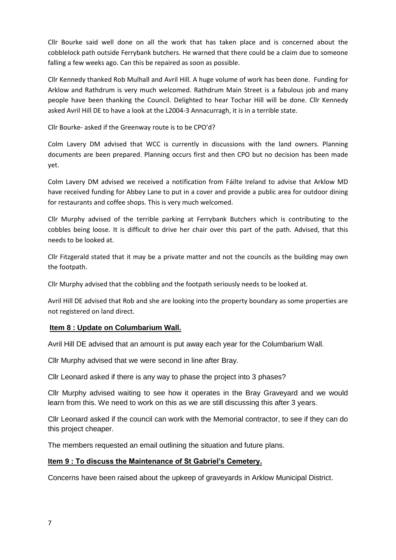Cllr Bourke said well done on all the work that has taken place and is concerned about the cobblelock path outside Ferrybank butchers. He warned that there could be a claim due to someone falling a few weeks ago. Can this be repaired as soon as possible.

Cllr Kennedy thanked Rob Mulhall and Avril Hill. A huge volume of work has been done. Funding for Arklow and Rathdrum is very much welcomed. Rathdrum Main Street is a fabulous job and many people have been thanking the Council. Delighted to hear Tochar Hill will be done. Cllr Kennedy asked Avril Hill DE to have a look at the L2004-3 Annacurragh, it is in a terrible state.

Cllr Bourke- asked if the Greenway route is to be CPO'd?

Colm Lavery DM advised that WCC is currently in discussions with the land owners. Planning documents are been prepared. Planning occurs first and then CPO but no decision has been made yet.

Colm Lavery DM advised we received a notification from Fáilte Ireland to advise that Arklow MD have received funding for Abbey Lane to put in a cover and provide a public area for outdoor dining for restaurants and coffee shops. This is very much welcomed.

Cllr Murphy advised of the terrible parking at Ferrybank Butchers which is contributing to the cobbles being loose. It is difficult to drive her chair over this part of the path. Advised, that this needs to be looked at.

Cllr Fitzgerald stated that it may be a private matter and not the councils as the building may own the footpath.

Cllr Murphy advised that the cobbling and the footpath seriously needs to be looked at.

Avril Hill DE advised that Rob and she are looking into the property boundary as some properties are not registered on land direct.

## **Item 8 : Update on Columbarium Wall.**

Avril Hill DE advised that an amount is put away each year for the Columbarium Wall.

Cllr Murphy advised that we were second in line after Bray.

Cllr Leonard asked if there is any way to phase the project into 3 phases?

Cllr Murphy advised waiting to see how it operates in the Bray Graveyard and we would learn from this. We need to work on this as we are still discussing this after 3 years.

Cllr Leonard asked if the council can work with the Memorial contractor, to see if they can do this project cheaper.

The members requested an email outlining the situation and future plans.

## **Item 9 : To discuss the Maintenance of St Gabriel's Cemetery.**

Concerns have been raised about the upkeep of graveyards in Arklow Municipal District.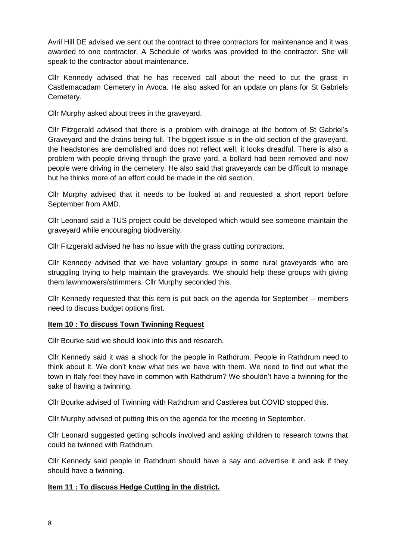Avril Hill DE advised we sent out the contract to three contractors for maintenance and it was awarded to one contractor. A Schedule of works was provided to the contractor. She will speak to the contractor about maintenance.

Cllr Kennedy advised that he has received call about the need to cut the grass in Castlemacadam Cemetery in Avoca. He also asked for an update on plans for St Gabriels Cemetery.

Cllr Murphy asked about trees in the graveyard.

Cllr Fitzgerald advised that there is a problem with drainage at the bottom of St Gabriel's Graveyard and the drains being full. The biggest issue is in the old section of the graveyard, the headstones are demolished and does not reflect well, it looks dreadful. There is also a problem with people driving through the grave yard, a bollard had been removed and now people were driving in the cemetery. He also said that graveyards can be difficult to manage but he thinks more of an effort could be made in the old section,

Cllr Murphy advised that it needs to be looked at and requested a short report before September from AMD.

Cllr Leonard said a TUS project could be developed which would see someone maintain the graveyard while encouraging biodiversity.

Cllr Fitzgerald advised he has no issue with the grass cutting contractors.

Cllr Kennedy advised that we have voluntary groups in some rural graveyards who are struggling trying to help maintain the graveyards. We should help these groups with giving them lawnmowers/strimmers. Cllr Murphy seconded this.

Cllr Kennedy requested that this item is put back on the agenda for September – members need to discuss budget options first.

### **Item 10 : To discuss Town Twinning Request**

Cllr Bourke said we should look into this and research.

Cllr Kennedy said it was a shock for the people in Rathdrum. People in Rathdrum need to think about it. We don't know what ties we have with them. We need to find out what the town in Italy feel they have in common with Rathdrum? We shouldn't have a twinning for the sake of having a twinning.

Cllr Bourke advised of Twinning with Rathdrum and Castlerea but COVID stopped this.

Cllr Murphy advised of putting this on the agenda for the meeting in September.

Cllr Leonard suggested getting schools involved and asking children to research towns that could be twinned with Rathdrum.

Cllr Kennedy said people in Rathdrum should have a say and advertise it and ask if they should have a twinning.

## **Item 11 : To discuss Hedge Cutting in the district.**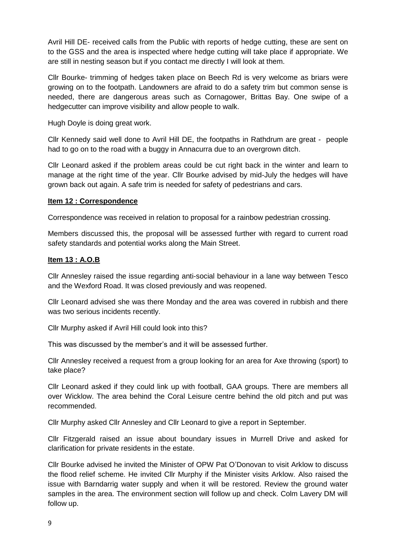Avril Hill DE- received calls from the Public with reports of hedge cutting, these are sent on to the GSS and the area is inspected where hedge cutting will take place if appropriate. We are still in nesting season but if you contact me directly I will look at them.

Cllr Bourke- trimming of hedges taken place on Beech Rd is very welcome as briars were growing on to the footpath. Landowners are afraid to do a safety trim but common sense is needed, there are dangerous areas such as Cornagower, Brittas Bay. One swipe of a hedgecutter can improve visibility and allow people to walk.

Hugh Doyle is doing great work.

Cllr Kennedy said well done to Avril Hill DE, the footpaths in Rathdrum are great - people had to go on to the road with a buggy in Annacurra due to an overgrown ditch.

Cllr Leonard asked if the problem areas could be cut right back in the winter and learn to manage at the right time of the year. Cllr Bourke advised by mid-July the hedges will have grown back out again. A safe trim is needed for safety of pedestrians and cars.

### **Item 12 : Correspondence**

Correspondence was received in relation to proposal for a rainbow pedestrian crossing.

Members discussed this, the proposal will be assessed further with regard to current road safety standards and potential works along the Main Street.

### **Item 13 : A.O.B**

Cllr Annesley raised the issue regarding anti-social behaviour in a lane way between Tesco and the Wexford Road. It was closed previously and was reopened.

Cllr Leonard advised she was there Monday and the area was covered in rubbish and there was two serious incidents recently.

Cllr Murphy asked if Avril Hill could look into this?

This was discussed by the member's and it will be assessed further.

Cllr Annesley received a request from a group looking for an area for Axe throwing (sport) to take place?

Cllr Leonard asked if they could link up with football, GAA groups. There are members all over Wicklow. The area behind the Coral Leisure centre behind the old pitch and put was recommended.

Cllr Murphy asked Cllr Annesley and Cllr Leonard to give a report in September.

Cllr Fitzgerald raised an issue about boundary issues in Murrell Drive and asked for clarification for private residents in the estate.

Cllr Bourke advised he invited the Minister of OPW Pat O'Donovan to visit Arklow to discuss the flood relief scheme. He invited Cllr Murphy if the Minister visits Arklow. Also raised the issue with Barndarrig water supply and when it will be restored. Review the ground water samples in the area. The environment section will follow up and check. Colm Lavery DM will follow up.